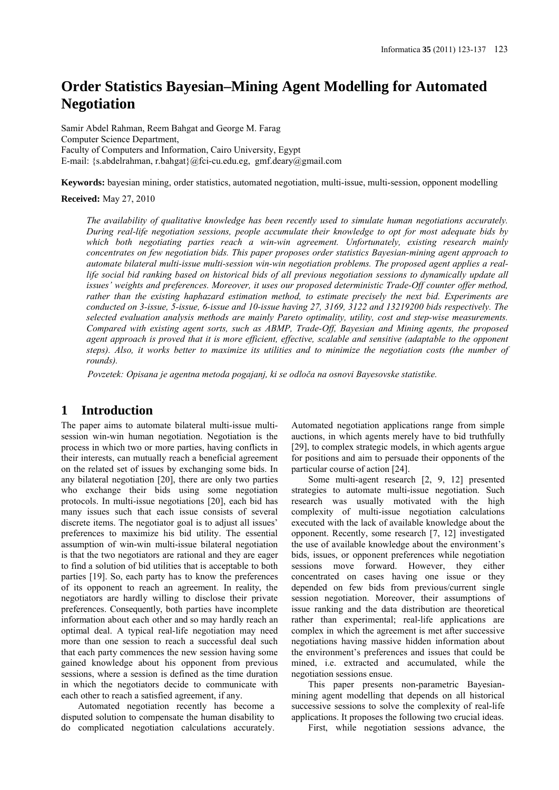# **Order Statistics Bayesian–Mining Agent Modelling for Automated Negotiation**

Samir Abdel Rahman, Reem Bahgat and George M. Farag Computer Science Department, Faculty of Computers and Information, Cairo University, Egypt E-mail: {s.abdelrahman, r.bahgat}@fci-cu.edu.eg, gmf.deary@gmail.com

**Keywords:** bayesian mining, order statistics, automated negotiation, multi-issue, multi-session, opponent modelling

**Received:** May 27, 2010

*The availability of qualitative knowledge has been recently used to simulate human negotiations accurately. During real-life negotiation sessions, people accumulate their knowledge to opt for most adequate bids by which both negotiating parties reach a win-win agreement. Unfortunately, existing research mainly concentrates on few negotiation bids. This paper proposes order statistics Bayesian-mining agent approach to automate bilateral multi-issue multi-session win-win negotiation problems. The proposed agent applies a reallife social bid ranking based on historical bids of all previous negotiation sessions to dynamically update all issues' weights and preferences. Moreover, it uses our proposed deterministic Trade-Off counter offer method, rather than the existing haphazard estimation method, to estimate precisely the next bid. Experiments are conducted on 3-issue, 5-issue, 6-issue and 10-issue having 27, 3169, 3122 and 13219200 bids respectively. The selected evaluation analysis methods are mainly Pareto optimality, utility, cost and step-wise measurements. Compared with existing agent sorts, such as ABMP, Trade-Off, Bayesian and Mining agents, the proposed agent approach is proved that it is more efficient, effective, scalable and sensitive (adaptable to the opponent steps). Also, it works better to maximize its utilities and to minimize the negotiation costs (the number of rounds).*

*Povzetek: Opisana je agentna metoda pogajanj, ki se odloča na osnovi Bayesovske statistike.*

## **1 Introduction**

The paper aims to automate bilateral multi-issue multisession win-win human negotiation. Negotiation is the process in which two or more parties, having conflicts in their interests, can mutually reach a beneficial agreement on the related set of issues by exchanging some bids. In any bilateral negotiation [20], there are only two parties who exchange their bids using some negotiation protocols. In multi-issue negotiations [20], each bid has many issues such that each issue consists of several discrete items. The negotiator goal is to adjust all issues' preferences to maximize his bid utility. The essential assumption of win-win multi-issue bilateral negotiation is that the two negotiators are rational and they are eager to find a solution of bid utilities that is acceptable to both parties [19]. So, each party has to know the preferences of its opponent to reach an agreement. In reality, the negotiators are hardly willing to disclose their private preferences. Consequently, both parties have incomplete information about each other and so may hardly reach an optimal deal. A typical real-life negotiation may need more than one session to reach a successful deal such that each party commences the new session having some gained knowledge about his opponent from previous sessions, where a session is defined as the time duration in which the negotiators decide to communicate with each other to reach a satisfied agreement, if any.

Automated negotiation recently has become a disputed solution to compensate the human disability to do complicated negotiation calculations accurately. Automated negotiation applications range from simple auctions, in which agents merely have to bid truthfully [29], to complex strategic models, in which agents argue for positions and aim to persuade their opponents of the particular course of action [24].

Some multi-agent research [2, 9, 12] presented strategies to automate multi-issue negotiation. Such research was usually motivated with the high complexity of multi-issue negotiation calculations executed with the lack of available knowledge about the opponent. Recently, some research [7, 12] investigated the use of available knowledge about the environment's bids, issues, or opponent preferences while negotiation sessions move forward. However, they either concentrated on cases having one issue or they depended on few bids from previous/current single session negotiation. Moreover, their assumptions of issue ranking and the data distribution are theoretical rather than experimental; real-life applications are complex in which the agreement is met after successive negotiations having massive hidden information about the environment's preferences and issues that could be mined, i.e. extracted and accumulated, while the negotiation sessions ensue.

This paper presents non-parametric Bayesianmining agent modelling that depends on all historical successive sessions to solve the complexity of real-life applications. It proposes the following two crucial ideas.

First, while negotiation sessions advance, the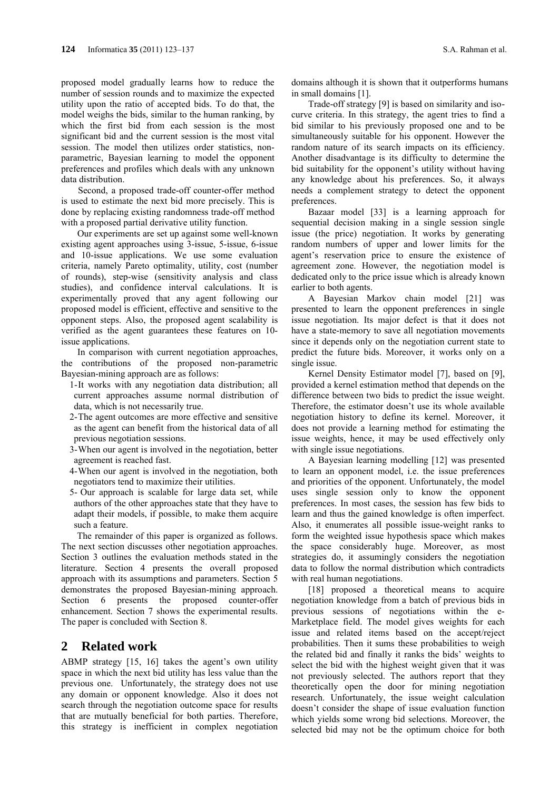proposed model gradually learns how to reduce the number of session rounds and to maximize the expected utility upon the ratio of accepted bids. To do that, the model weighs the bids, similar to the human ranking, by which the first bid from each session is the most significant bid and the current session is the most vital session. The model then utilizes order statistics, nonparametric, Bayesian learning to model the opponent preferences and profiles which deals with any unknown data distribution.

Second, a proposed trade-off counter-offer method is used to estimate the next bid more precisely. This is done by replacing existing randomness trade-off method with a proposed partial derivative utility function.

Our experiments are set up against some well-known existing agent approaches using 3-issue, 5-issue, 6-issue and 10-issue applications. We use some evaluation criteria, namely Pareto optimality, utility, cost (number of rounds), step-wise (sensitivity analysis and class studies), and confidence interval calculations. It is experimentally proved that any agent following our proposed model is efficient, effective and sensitive to the opponent steps. Also, the proposed agent scalability is verified as the agent guarantees these features on 10 issue applications.

In comparison with current negotiation approaches, the contributions of the proposed non-parametric Bayesian-mining approach are as follows:

- 1-It works with any negotiation data distribution; all current approaches assume normal distribution of data, which is not necessarily true.
- 2-The agent outcomes are more effective and sensitive as the agent can benefit from the historical data of all previous negotiation sessions.
- 3-When our agent is involved in the negotiation, better agreement is reached fast.
- 4-When our agent is involved in the negotiation, both negotiators tend to maximize their utilities.
- 5- Our approach is scalable for large data set, while authors of the other approaches state that they have to adapt their models, if possible, to make them acquire such a feature.

The remainder of this paper is organized as follows. The next section discusses other negotiation approaches. Section 3 outlines the evaluation methods stated in the literature. Section 4 presents the overall proposed approach with its assumptions and parameters. Section 5 demonstrates the proposed Bayesian-mining approach. Section 6 presents the proposed counter-offer enhancement. Section 7 shows the experimental results. The paper is concluded with Section 8.

## **2 Related work**

ABMP strategy [15, 16] takes the agent's own utility space in which the next bid utility has less value than the previous one. Unfortunately, the strategy does not use any domain or opponent knowledge. Also it does not search through the negotiation outcome space for results that are mutually beneficial for both parties. Therefore, this strategy is inefficient in complex negotiation domains although it is shown that it outperforms humans in small domains [1].

Trade-off strategy [9] is based on similarity and isocurve criteria. In this strategy, the agent tries to find a bid similar to his previously proposed one and to be simultaneously suitable for his opponent. However the random nature of its search impacts on its efficiency. Another disadvantage is its difficulty to determine the bid suitability for the opponent's utility without having any knowledge about his preferences. So, it always needs a complement strategy to detect the opponent preferences.

Bazaar model [33] is a learning approach for sequential decision making in a single session single issue (the price) negotiation. It works by generating random numbers of upper and lower limits for the agent's reservation price to ensure the existence of agreement zone. However, the negotiation model is dedicated only to the price issue which is already known earlier to both agents.

A Bayesian Markov chain model [21] was presented to learn the opponent preferences in single issue negotiation. Its major defect is that it does not have a state-memory to save all negotiation movements since it depends only on the negotiation current state to predict the future bids. Moreover, it works only on a single issue.

Kernel Density Estimator model [7], based on [9], provided a kernel estimation method that depends on the difference between two bids to predict the issue weight. Therefore, the estimator doesn't use its whole available negotiation history to define its kernel. Moreover, it does not provide a learning method for estimating the issue weights, hence, it may be used effectively only with single issue negotiations.

A Bayesian learning modelling [12] was presented to learn an opponent model, i.e. the issue preferences and priorities of the opponent. Unfortunately, the model uses single session only to know the opponent preferences. In most cases, the session has few bids to learn and thus the gained knowledge is often imperfect. Also, it enumerates all possible issue-weight ranks to form the weighted issue hypothesis space which makes the space considerably huge. Moreover, as most strategies do, it assumingly considers the negotiation data to follow the normal distribution which contradicts with real human negotiations.

[18] proposed a theoretical means to acquire negotiation knowledge from a batch of previous bids in previous sessions of negotiations within the e-Marketplace field. The model gives weights for each issue and related items based on the accept/reject probabilities. Then it sums these probabilities to weigh the related bid and finally it ranks the bids' weights to select the bid with the highest weight given that it was not previously selected. The authors report that they theoretically open the door for mining negotiation research. Unfortunately, the issue weight calculation doesn't consider the shape of issue evaluation function which yields some wrong bid selections. Moreover, the selected bid may not be the optimum choice for both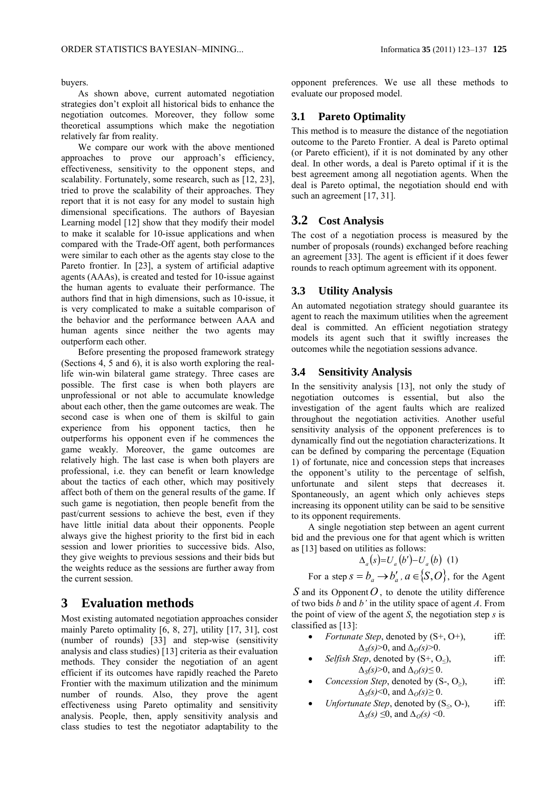buyers.

As shown above, current automated negotiation strategies don't exploit all historical bids to enhance the negotiation outcomes. Moreover, they follow some theoretical assumptions which make the negotiation relatively far from reality.

We compare our work with the above mentioned approaches to prove our approach's efficiency, effectiveness, sensitivity to the opponent steps, and scalability. Fortunately, some research, such as [12, 23], tried to prove the scalability of their approaches. They report that it is not easy for any model to sustain high dimensional specifications. The authors of Bayesian Learning model [12] show that they modify their model to make it scalable for 10-issue applications and when compared with the Trade-Off agent, both performances were similar to each other as the agents stay close to the Pareto frontier. In [23], a system of artificial adaptive agents (AAAs), is created and tested for 10-issue against the human agents to evaluate their performance. The authors find that in high dimensions, such as 10-issue, it is very complicated to make a suitable comparison of the behavior and the performance between AAA and human agents since neither the two agents may outperform each other.

Before presenting the proposed framework strategy (Sections 4, 5 and 6), it is also worth exploring the reallife win-win bilateral game strategy. Three cases are possible. The first case is when both players are unprofessional or not able to accumulate knowledge about each other, then the game outcomes are weak. The second case is when one of them is skilful to gain experience from his opponent tactics, then he outperforms his opponent even if he commences the game weakly. Moreover, the game outcomes are relatively high. The last case is when both players are professional, i.e. they can benefit or learn knowledge about the tactics of each other, which may positively affect both of them on the general results of the game. If such game is negotiation, then people benefit from the past/current sessions to achieve the best, even if they have little initial data about their opponents. People always give the highest priority to the first bid in each session and lower priorities to successive bids. Also, they give weights to previous sessions and their bids but the weights reduce as the sessions are further away from the current session.

## **3 Evaluation methods**

Most existing automated negotiation approaches consider mainly Pareto optimality [6, 8, 27], utility [17, 31], cost (number of rounds) [33] and step-wise (sensitivity analysis and class studies) [13] criteria as their evaluation methods. They consider the negotiation of an agent efficient if its outcomes have rapidly reached the Pareto Frontier with the maximum utilization and the minimum number of rounds. Also, they prove the agent effectiveness using Pareto optimality and sensitivity analysis. People, then, apply sensitivity analysis and class studies to test the negotiator adaptability to the

opponent preferences. We use all these methods to evaluate our proposed model.

#### **3.1 Pareto Optimality**

This method is to measure the distance of the negotiation outcome to the Pareto Frontier. A deal is Pareto optimal (or Pareto efficient), if it is not dominated by any other deal. In other words, a deal is Pareto optimal if it is the best agreement among all negotiation agents. When the deal is Pareto optimal, the negotiation should end with such an agreement [17, 31].

#### **3.2 Cost Analysis**

The cost of a negotiation process is measured by the number of proposals (rounds) exchanged before reaching an agreement [33]. The agent is efficient if it does fewer rounds to reach optimum agreement with its opponent.

#### **3.3 Utility Analysis**

An automated negotiation strategy should guarantee its agent to reach the maximum utilities when the agreement deal is committed. An efficient negotiation strategy models its agent such that it swiftly increases the outcomes while the negotiation sessions advance.

#### **3.4 Sensitivity Analysis**

In the sensitivity analysis [13], not only the study of negotiation outcomes is essential, but also the investigation of the agent faults which are realized throughout the negotiation activities. Another useful sensitivity analysis of the opponent preferences is to dynamically find out the negotiation characterizations. It can be defined by comparing the percentage (Equation 1) of fortunate, nice and concession steps that increases the opponent's utility to the percentage of selfish, unfortunate and silent steps that decreases it. Spontaneously, an agent which only achieves steps increasing its opponent utility can be said to be sensitive to its opponent requirements.

A single negotiation step between an agent current bid and the previous one for that agent which is written as [13] based on utilities as follows:

$$
\Delta_a(s) = U_a(b') - U_a(b) \quad (1)
$$

For a step  $s = b_a \rightarrow b'_a$ ,  $a \in \{S, O\}$ , for the Agent

*S* and its Opponent *O*, to denote the utility difference of two bids *b* and *b'* in the utility space of agent *A*. From the point of view of the agent *S*, the negotiation step *s* is classified as [13]:

- *Fortunate Step*, denoted by  $(S^+, O^+),$  iff: *∆S(s)*>0, and *∆O(s)*>0.
- *Selfish Step*, denoted by  $(S^+, O_<)$ , iff: *∆S(s)*>0, and *∆O(s)≤* 0.
- *Concession Step*, denoted by  $(S-, O_>)$ , iff: *∆S(s)*<0, and *∆O(s)≥* 0.
- *Unfortunate Step*, denoted by  $(S_0, O_1)$ , iff: *∆S(s) ≤*0, and *∆O(s)* <0.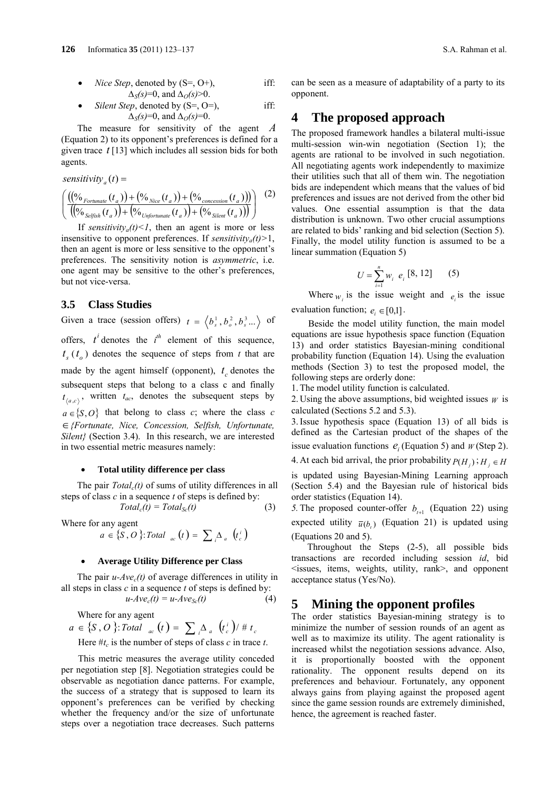• *Nice Step*, denoted by (S=, O+), iff:  

$$
\Delta_S(s)=0, \text{ and } \Delta_O(s)>0.
$$

• *Silent Step*, denoted by (S=, O=), iff: 
$$
\Delta_S(s)=0
$$
, and  $\Delta_O(s)=0$ .

The measure for sensitivity of the agent *A* (Equation 2) to its opponent's preferences is defined for a given trace *t* [13] which includes all session bids for both agents.

$$
sensitivity_{a}(t) = \left( \frac{((\%_{Fortunate}(t_{a})) + (\%_{Nice}(t_{a})) + (\%_{concession}(t_{a})))}{((\%_{Selfish}(t_{a})) + (\%_{Unformation}(t_{a})) + (\%_{Silent}(t_{a})))} \right) (2)
$$

If *sensitivity<sub>a</sub>(t)<1*, then an agent is more or less insensitive to opponent preferences. If *sensitivitya(t)>*1, then an agent is more or less sensitive to the opponent's preferences. The sensitivity notion is *asymmetric*, i.e. one agent may be sensitive to the other's preferences, but not vice-versa.

### **3.5 Class Studies**

Given a trace (session offers)  $t = \langle b_s^1, b_o^2, b_s^3 \rangle$  of offers,  $t^i$  denotes the  $i^{th}$  element of this sequence,  $t_{s}(t_{o})$  denotes the sequence of steps from *t* that are made by the agent himself (opponent),  $t_c$  denotes the subsequent steps that belong to a class c and finally  $t_{a}$ , written  $t_{ac}$ , denotes the subsequent steps by  $a \in \{S, O\}$  that belong to class *c*; where the class *c {Fortunate, Nice, Concession, Selfish, Unfortunate, Silent}* (Section 3.4). In this research, we are interested in two essential metric measures namely:

#### **Total utility difference per class**

The pair  $Total_c(t)$  of sums of utility differences in all steps of class *c* in a sequence *t* of steps is defined by:

 $Total_c(t) = Total_{Sc}(t)$  (3)

Where for any agent

$$
a \in \{S, O\} \colon \text{Total}_{ac}(t) = \sum_{i} \Delta_{a} (t_{c}^{i})
$$

#### **Average Utility Difference per Class**

The pair  $u$ - $Ave_c(t)$  of average differences in utility in all steps in class *c* in a sequence *t* of steps is defined by:

$$
u-Ave_c(t) = u-Ave_{Sc}(t)
$$
 (4)

Where for any agent

$$
a \in \{S, O\} \colon \text{Total}_{ac}(t) = \sum_{i} \Delta_{a} (t_{c}^{i}) / \# t_{c}
$$
\nHere #t<sub>c</sub> is the number of steps of class *c* in trace *t*.

This metric measures the average utility conceded per negotiation step [8]. Negotiation strategies could be observable as negotiation dance patterns. For example, the success of a strategy that is supposed to learn its opponent's preferences can be verified by checking whether the frequency and/or the size of unfortunate steps over a negotiation trace decreases. Such patterns can be seen as a measure of adaptability of a party to its opponent.

## **4 The proposed approach**

The proposed framework handles a bilateral multi-issue multi-session win-win negotiation (Section 1); the agents are rational to be involved in such negotiation. All negotiating agents work independently to maximize their utilities such that all of them win. The negotiation bids are independent which means that the values of bid preferences and issues are not derived from the other bid values. One essential assumption is that the data distribution is unknown. Two other crucial assumptions are related to bids' ranking and bid selection (Section 5). Finally, the model utility function is assumed to be a linear summation (Equation 5)

$$
U = \sum_{i=1}^{n} w_i \ e_i \ [8, 12] \qquad (5)
$$

Where  $w_i$  is the issue weight and  $e_i$  is the issue evaluation function;  $e_i \in [0,1]$ .

Beside the model utility function, the main model equations are issue hypothesis space function (Equation 13) and order statistics Bayesian-mining conditional probability function (Equation 14). Using the evaluation methods (Section 3) to test the proposed model, the following steps are orderly done:

1. The model utility function is calculated.

2. Using the above assumptions, bid weighted issues *W* is calculated (Sections 5.2 and 5.3).

3. Issue hypothesis space (Equation 13) of all bids is defined as the Cartesian product of the shapes of the issue evaluation functions  $e_i$  (Equation 5) and  $w$  (Step 2).

4. At each bid arrival, the prior probability  $P(H_i)$ ;  $H_i \in H$ 

is updated using Bayesian-Mining Learning approach (Section 5.4) and the Bayesian rule of historical bids order statistics (Equation 14).

*5.* The proposed counter-offer  $b_{t+1}$  (Equation 22) using expected utility  $\bar{u}(b)$  (Equation 21) is updated using (Equations 20 and 5).

Throughout the Steps (2-5), all possible bids transactions are recorded including session *id*, bid <issues, items, weights, utility, rank>, and opponent acceptance status (Yes/No).

## **5 Mining the opponent profiles**

The order statistics Bayesian-mining strategy is to minimize the number of session rounds of an agent as well as to maximize its utility. The agent rationality is increased whilst the negotiation sessions advance. Also, it is proportionally boosted with the opponent rationality. The opponent results depend on its preferences and behaviour. Fortunately, any opponent always gains from playing against the proposed agent since the game session rounds are extremely diminished, hence, the agreement is reached faster.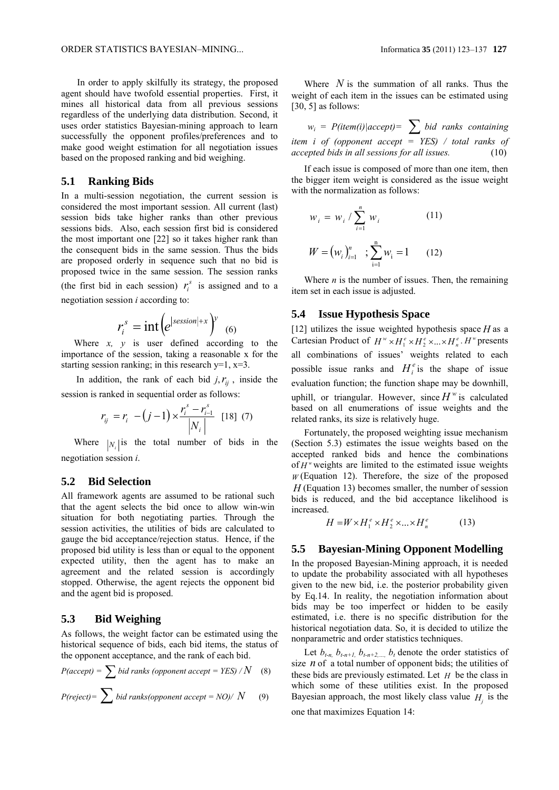In order to apply skilfully its strategy, the proposed agent should have twofold essential properties. First, it mines all historical data from all previous sessions regardless of the underlying data distribution. Second, it uses order statistics Bayesian-mining approach to learn successfully the opponent profiles/preferences and to make good weight estimation for all negotiation issues based on the proposed ranking and bid weighing.

#### **5.1 Ranking Bids**

In a multi-session negotiation, the current session is considered the most important session. All current (last) session bids take higher ranks than other previous sessions bids. Also, each session first bid is considered the most important one [22] so it takes higher rank than the consequent bids in the same session. Thus the bids are proposed orderly in sequence such that no bid is proposed twice in the same session. The session ranks (the first bid in each session)  $r_i^s$  is assigned and to a negotiation session *i* according to:

$$
r_i^s = \text{int} \left( e^{|{\text{session}}|+x} \right)^y \tag{6}
$$

Where *x, y* is user defined according to the importance of the session, taking a reasonable x for the starting session ranking; in this research  $y=1$ ,  $x=3$ .

In addition, the rank of each bid  $j, r_{ii}$ , inside the session is ranked in sequential order as follows:

$$
r_{ij} = r_i - (j - 1) \times \frac{r_i^s - r_{i-1}^s}{|N_i|} \quad [18] \tag{7}
$$

Where  $|N|$  is the total number of bids in the negotiation session *i*.

#### **5.2 Bid Selection**

All framework agents are assumed to be rational such that the agent selects the bid once to allow win-win situation for both negotiating parties. Through the session activities, the utilities of bids are calculated to gauge the bid acceptance/rejection status. Hence, if the proposed bid utility is less than or equal to the opponent expected utility, then the agent has to make an agreement and the related session is accordingly stopped. Otherwise, the agent rejects the opponent bid and the agent bid is proposed.

#### **5.3 Bid Weighing**

As follows, the weight factor can be estimated using the historical sequence of bids, each bid items, the status of the opponent acceptance, and the rank of each bid.

$$
P(accept) = \sum bid \text{ ranks (opponent accept} = YES) / N \quad (8)
$$

$$
P(reject) = \sum \, bid\, ranks (opponent\, accept = NO) / \, N \qquad (9)
$$

Where *N* is the summation of all ranks. Thus the weight of each item in the issues can be estimated using  $[30, 5]$  as follows:

 $w_i = P(item(i) | accept) = \sum$  *bid ranks containing item i of (opponent accept = YES) / total ranks of accepted bids in all sessions for all issues.* (10)

If each issue is composed of more than one item, then the bigger item weight is considered as the issue weight with the normalization as follows:

$$
w_{i} = w_{i} / \sum_{i=1}^{n} w_{i}
$$
 (11)  

$$
W = (w_{i})_{i=1}^{n} ; \sum_{i=1}^{n} w_{i} = 1
$$
 (12)

Where  $n$  is the number of issues. Then, the remaining item set in each issue is adjusted.

#### **5.4 Issue Hypothesis Space**

[12] utilizes the issue weighted hypothesis space  $H$  as a Cartesian Product of  $H^w \times H_1^e \times H_2^e \times ... \times H_n^e$ .  $H^w$  presents all combinations of issues' weights related to each possible issue ranks and  $H_i^e$  is the shape of issue evaluation function; the function shape may be downhill, uphill, or triangular. However, since  $H^w$  is calculated based on all enumerations of issue weights and the related ranks, its size is relatively huge.

Fortunately, the proposed weighting issue mechanism (Section 5.3) estimates the issue weights based on the accepted ranked bids and hence the combinations of  $H^w$  weights are limited to the estimated issue weights *W* (Equation 12). Therefore, the size of the proposed *H* (Equation 13) becomes smaller, the number of session bids is reduced, and the bid acceptance likelihood is increased.

$$
H = W \times H_1^e \times H_2^e \times \dots \times H_n^e \tag{13}
$$

#### **5.5 Bayesian-Mining Opponent Modelling**

In the proposed Bayesian-Mining approach, it is needed to update the probability associated with all hypotheses given to the new bid, i.e. the posterior probability given by Eq.14. In reality, the negotiation information about bids may be too imperfect or hidden to be easily estimated, i.e. there is no specific distribution for the historical negotiation data. So, it is decided to utilize the nonparametric and order statistics techniques.

Let  $b_{t-n}$ ,  $b_{t-n+1}$ ,  $b_{t-n+2}$ ,  $b_t$  denote the order statistics of size *n* of a total number of opponent bids; the utilities of these bids are previously estimated. Let *H* be the class in which some of these utilities exist. In the proposed Bayesian approach, the most likely class value  $H_i$  is the one that maximizes Equation 14: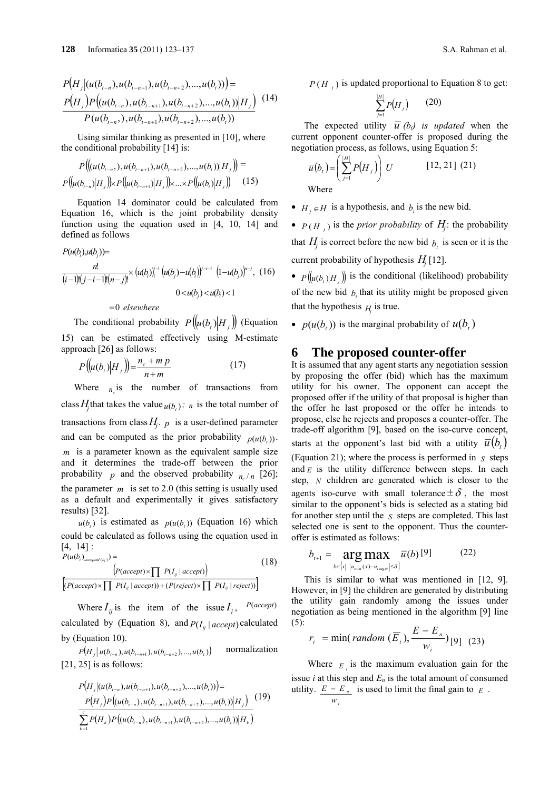$$
P\big(H_j\big| (u(b_{t-n}), u(b_{t-n+1}), u(b_{t-n+2}), ..., u(b_t)) \big) =
$$
  
\n
$$
\frac{P\big(H_j\big)P\big( (u(b_{t-n}), u(b_{t-n+1}), u(b_{t-n+2}), ..., u(b_t)) \big| H_j \big)}{P\big( u(b_{t-n}), u(b_{t-n+1}), u(b_{t-n+2}), ..., u(b_t))}
$$
 (14)

Using similar thinking as presented in [10], where the conditional probability [14] is:

$$
P\left(\left(\left(u(b_{t-n}), u(b_{t-n+1}), u(b_{t-n+2}), ..., u(b_i)\right) \middle| H_j\right)\right) = P\left(\left(u(b_{t-n}) \middle| H_j\right)\right) \times P\left(\left(u(b_{t-n+1}) \middle| H_j\right)\right) \times ... \times P\left(\left(u(b_i) \middle| H_j\right)\right) \tag{15}
$$

Equation 14 dominator could be calculated from Equation 16, which is the joint probability density function using the equation used in [4, 10, 14] and defined as follows

$$
P(u(b_j)u(b_j)) =
$$
  
\n
$$
\frac{n!}{(i-1)!(j-i-1)!(n-j)!} \times (u(b_j))_i^{-1} (u(b_j) - u(b_j))^{i-i-1} (1-u(b_j))^{n-j}, (16)
$$
  
\n
$$
0 < u(b_j) < u(b_j) < 1
$$

 $=$ 0 elsewhere

The conditional probability  $P([u(b, b)H_{\perp}])$  (Equation 15) can be estimated effectively using M-estimate approach [26] as follows:

$$
P\big(\big(u(b_t)|H_j\big)\big) = \frac{n_c + m p}{n+m} \tag{17}
$$

Where  $n_i$  is the number of transactions from class  $H_j$  that takes the value  $u(b_i)$ ; *n* is the total number of transactions from class  $H_j$ . *p* is a user-defined parameter and can be computed as the prior probability  $p(u(b))$ . *m* is a parameter known as the equivalent sample size and it determines the trade-off between the prior probability *p* and the observed probability  $n_{n}$  [26]; the parameter  $m$  is set to 2.0 (this setting is usually used as a default and experimentally it gives satisfactory results) [32].

 $u(b)$  is estimated as  $p(u(b))$  (Equation 16) which could be calculated as follows using the equation used in [4, 14] :

$$
P(u(b_i)_{accepted(b_i)}) = \n\left( P(accept) \times \prod P(I_{ij} \mid accept) \right) \n\left[ \frac{P(acept) \times \prod P(I_{ij} \mid accept) \times \prod P(I_{ij} \mid reject)}{\left[ P(a accept) \times \prod P(I_{ij} \mid accept) \right] + \left[ P(reject) \times \prod P(I_{ij} \mid reject) \right]} \right)
$$
\n(18)

Where  $I_{ii}$  is the item of the issue  $I_i$ ,  $P(accept)$ calculated by (Equation 8), and  $P(I_{ij} \mid accept)$  calculated by (Equation 10).

 $P(H_i | u(b_{i-n}), u(b_{i-n+1}), u(b_{i-n+2}), ..., u(b_t))$  normalization  $[21, 25]$  is as follows:

$$
P(H_j|(u(b_{t-n}),u(b_{t-n+1}),u(b_{t-n+2}),...,u(b_i))=
$$
  
\n
$$
P(H_j)P((u(b_{t-n}),u(b_{t-n+1}),u(b_{t-n+2}),...,u(b_i))|H_j)
$$
  
\n
$$
\sum_{k=1}^{s}P(H_k)P((u(b_{t-n}),u(b_{t-n+1}),u(b_{t-n+2}),...,u(b_i))|H_k)
$$
 (19)

 $P(H_i)$  is updated proportional to Equation 8 to get:

$$
\sum_{j=1}^{|H|} P\big(H_j\big) \qquad (20)
$$

The expected utility  $\overline{u}$  (*b<sub>t</sub>*) is updated when the current opponent counter-offer is proposed during the negotiation process, as follows, using Equation 5:

$$
\overline{u}(b_i) = \left(\sum_{j=1}^{|H|} P\left(H_j\right)\right) U \qquad \qquad [12, 21] \tag{21}
$$

Where

- $H_i \in H$  is a hypothesis, and  $b_i$  is the new bid.
- $P(H_j)$  is the *prior probability* of  $H_j$ : the probability

that  $H_i$  is correct before the new bid  $b_i$  is seen or it is the current probability of hypothesis  $H_i$  [12].

•  $P([u(b_i)|H_i])$  is the conditional (likelihood) probability of the new bid  $b<sub>i</sub>$  that its utility might be proposed given that the hypothesis  $H$  is true.

•  $p(u(b,))$  is the marginal probability of  $u(b,)$ 

#### **6 The proposed counter-offer**

It is assumed that any agent starts any negotiation session by proposing the offer (bid) which has the maximum utility for his owner. The opponent can accept the proposed offer if the utility of that proposal is higher than the offer he last proposed or the offer he intends to propose, else he rejects and proposes a counter-offer. The trade-off algorithm [9], based on the iso-curve concept, starts at the opponent's last bid with a utility  $\overline{u}(b_t)$ (Equation 21); where the process is performed in *S* steps and  $E$  is the utility difference between steps. In each step, *N* children are generated which is closer to the agents iso-curve with small tolerance  $\pm \delta$ , the most similar to the opponent's bids is selected as a stating bid for another step until the *S* steps are completed. This last selected one is sent to the opponent. Thus the counteroffer is estimated as follows:

$$
b_{t+1} = \underset{b \in \{x \mid \ |u_{\text{own}}(x) - u_{\text{target}}| \leq \delta\}}{\arg \max} \overline{u}(b) \, [9] \tag{22}
$$

This is similar to what was mentioned in [12, 9]. However, in [9] the children are generated by distributing the utility gain randomly among the issues under negotiation as being mentioned in the algorithm [9] line (5):

$$
r_i = \min(\text{random }(\overline{E}_i), \frac{E - E_n}{w_i}) \text{ [9]} \quad (23)
$$

Where  $E_{\perp}$  is the maximum evaluation gain for the issue *i* at this step and  $E_n$  is the total amount of consumed utility.  $E - E_n$  is used to limit the final gain to  $E$ . *i w*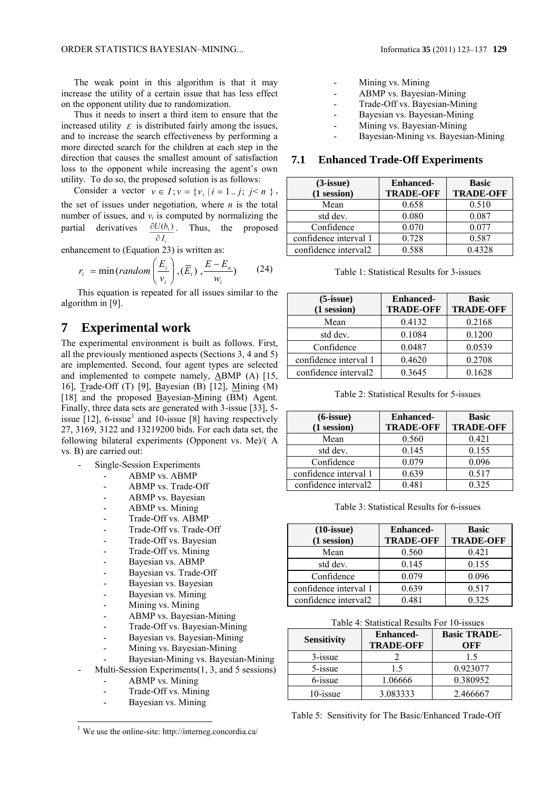The weak point in this algorithm is that it may increase the utility of a certain issue that has less effect on the opponent utility due to randomization.

Thus it needs to insert a third item to ensure that the increased utility  $E$  is distributed fairly among the issues, and to increase the search effectiveness by performing a more directed search for the children at each step in the direction that causes the smallest amount of satisfaction loss to the opponent while increasing the agent's own utility. To do so, the proposed solution is as follows:

Consider a vector  $v \in I$ ;  $v = \{v_i | i = 1..j; j \le n \}$ , the set of issues under negotiation, where  $n$  is the total number of issues, and  $v_i$  is computed by normalizing the partial derivatives  $\partial I_i$  $\partial U(b_t)$ . Thus, the proposed

enhancement to (Equation 23) is written as:

$$
r_i = \min(random\left(\frac{E_i}{v_i}\right), \left(\overline{E}_i\right), \frac{E - E_n}{w_i})\tag{24}
$$

This equation is repeated for all issues similar to the algorithm in [9].

## **7 Experimental work**

The experimental environment is built as follows. First, all the previously mentioned aspects (Sections 3, 4 and 5) are implemented. Second, four agent types are selected and implemented to compete namely, ABMP (A) [15, 16], Trade-Off (T) [9], Bayesian (B) [12], Mining (M) [18] and the proposed Bayesian-Mining (BM) Agent. Finally, three data sets are generated with 3-issue [33], 5 issue  $[12]$ , 6-issue<sup>1</sup> and 10-issue  $[8]$  having respectively 27, 3169, 3122 and 13219200 bids. For each data set, the following bilateral experiments (Opponent vs. Me)/( A vs. B) are carried out:

- Single-Session Experiments
	- ABMP vs. ABMP
	- ABMP vs. Trade-Off
	- ABMP vs. Bayesian
	- ABMP vs. Mining
	- Trade-Off vs. ABMP
	- Trade-Off vs. Trade-Off
	- Trade-Off vs. Bayesian
	- Trade-Off vs. Mining
	- Bayesian vs. ABMP
	- Bayesian vs. Trade-Off
	- Bayesian vs. Bayesian
	- Bayesian vs. Mining
	- Mining vs. Mining
	- ABMP vs. Bayesian-Mining
	- Trade-Off vs. Bayesian-Mining
	- Bayesian vs. Bayesian-Mining
	- Mining vs. Bayesian-Mining
	- Bayesian-Mining vs. Bayesian-Mining
- Multi-Session Experiments $(1, 3,$  and 5 sessions)
	- ABMP vs. Mining

l

- Trade-Off vs. Mining
- Bayesian vs. Mining
- Mining vs. Mining
- ABMP vs. Bayesian-Mining
- Trade-Off vs. Bayesian-Mining
- Bayesian vs. Bayesian-Mining
- Mining vs. Bayesian-Mining
- Bayesian-Mining vs. Bayesian-Mining

#### **7.1 Enhanced Trade-Off Experiments**

| $(3\text{-issue})$    | <b>Enhanced-</b> | <b>Basic</b>     |  |
|-----------------------|------------------|------------------|--|
| $(1$ session)         | <b>TRADE-OFF</b> | <b>TRADE-OFF</b> |  |
| Mean                  | 0.658            | 0.510            |  |
| std dev.              | 0.080            | 0.087            |  |
| Confidence            | 0.070            | 0.077            |  |
| confidence interval 1 | 0.728            | 0.587            |  |
| confidence interval2  | 0.588            | 0.4328           |  |

| Table 1: Statistical Results for 3-issues |  |  |  |
|-------------------------------------------|--|--|--|
|-------------------------------------------|--|--|--|

| $(5\text{-issue})$    | <b>Enhanced-</b> | <b>Basic</b>     |  |
|-----------------------|------------------|------------------|--|
| (1 session)           | <b>TRADE-OFF</b> | <b>TRADE-OFF</b> |  |
| Mean                  | 0.4132           | 0.2168           |  |
| std dev.              | 0.1084           | 0.1200           |  |
| Confidence            | 0.0487           | 0.0539           |  |
| confidence interval 1 | 0.4620           | 0.2708           |  |
| confidence interval2  | 0.3645           | 0.1628           |  |

Table 2: Statistical Results for 5-issues

| $(6\text{-issue})$    | <b>Enhanced-</b><br><b>TRADE-OFF</b> | <b>Basic</b><br><b>TRADE-OFF</b> |  |
|-----------------------|--------------------------------------|----------------------------------|--|
| $(1$ session $)$      |                                      |                                  |  |
| Mean                  | 0.560                                | 0.421                            |  |
| std dev.              | 0.145                                | 0.155                            |  |
| Confidence            | 0.079                                | 0.096                            |  |
| confidence interval 1 | 0.639                                | 0.517                            |  |
| confidence interval2  | 0.481                                | 0.325                            |  |

Table 3: Statistical Results for 6-issues

| $(10\text{-issue})$<br>$(1$ session) | <b>Enhanced-</b><br><b>TRADE-OFF</b> | <b>Basic</b><br><b>TRADE-OFF</b> |  |
|--------------------------------------|--------------------------------------|----------------------------------|--|
| Mean                                 | 0.560                                | 0.421                            |  |
| std dev.                             | 0.145                                | 0.155                            |  |
| Confidence                           | 0.079                                | 0.096                            |  |
| confidence interval 1                | 0.639                                | 0.517                            |  |
| confidence interval2                 | 0.481                                | 0 3 2 5                          |  |

Table 4: Statistical Results For 10-issues

| <b>Sensitivity</b> | <b>Enhanced-</b><br><b>TRADE-OFF</b> | <b>Basic TRADE-</b><br>OFF |
|--------------------|--------------------------------------|----------------------------|
| $3$ -issue         |                                      | 15                         |
| 5-issue            | 15                                   | 0.923077                   |
| 6-issue            | 1.06666                              | 0.380952                   |
| $10$ -issue        | 3.083333                             | 2.466667                   |

Table 5: Sensitivity for The Basic/Enhanced Trade-Off

 $1$  We use the online-site: http://interneg.concordia.ca/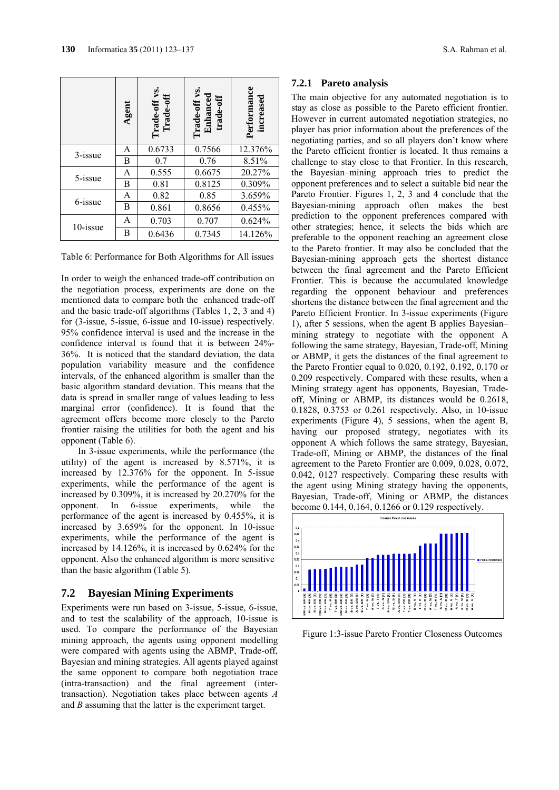|            | Agent | Trade-off vs.<br>Trade-off | Trade-off vs.<br>Enhanced<br>trade-off | Performance<br>increased |
|------------|-------|----------------------------|----------------------------------------|--------------------------|
| $3$ -issue | A     | 0.6733                     | 0.7566                                 | 12.376%                  |
|            | В     | 0.7                        | 0.76                                   | 8.51%                    |
| 5-issue    | A     | 0.555                      | 0.6675                                 | 20.27%                   |
|            | В     | 0.81                       | 0.8125                                 | 0.309%                   |
|            | A     | 0.82                       | 0.85                                   | 3.659%                   |
| 6-issue    | B     | 0.861                      | 0.8656                                 | 0.455%                   |
| 10-issue   | A     | 0.703                      | 0.707                                  | 0.624%                   |
|            | В     | 0.6436                     | 0.7345                                 | 14.126%                  |

Table 6: Performance for Both Algorithms for All issues

In order to weigh the enhanced trade-off contribution on the negotiation process, experiments are done on the mentioned data to compare both the enhanced trade-off and the basic trade-off algorithms (Tables 1, 2, 3 and 4) for (3-issue, 5-issue, 6-issue and 10-issue) respectively. 95% confidence interval is used and the increase in the confidence interval is found that it is between 24%- 36%. It is noticed that the standard deviation, the data population variability measure and the confidence intervals, of the enhanced algorithm is smaller than the basic algorithm standard deviation. This means that the data is spread in smaller range of values leading to less marginal error (confidence). It is found that the agreement offers become more closely to the Pareto frontier raising the utilities for both the agent and his opponent (Table 6).

In 3-issue experiments, while the performance (the utility) of the agent is increased by 8.571%, it is increased by 12.376% for the opponent. In 5-issue experiments, while the performance of the agent is increased by 0.309%, it is increased by 20.270% for the opponent. In 6-issue experiments, while the performance of the agent is increased by 0.455%, it is increased by 3.659% for the opponent. In 10-issue experiments, while the performance of the agent is increased by 14.126%, it is increased by 0.624% for the opponent. Also the enhanced algorithm is more sensitive than the basic algorithm (Table 5).

#### **7.2 Bayesian Mining Experiments**

Experiments were run based on 3-issue, 5-issue, 6-issue, and to test the scalability of the approach, 10-issue is used. To compare the performance of the Bayesian mining approach, the agents using opponent modelling were compared with agents using the ABMP, Trade-off, Bayesian and mining strategies. All agents played against the same opponent to compare both negotiation trace (intra-transaction) and the final agreement (intertransaction). Negotiation takes place between agents *A* and *B* assuming that the latter is the experiment target.

#### **7.2.1 Pareto analysis**

The main objective for any automated negotiation is to stay as close as possible to the Pareto efficient frontier. However in current automated negotiation strategies, no player has prior information about the preferences of the negotiating parties, and so all players don't know where the Pareto efficient frontier is located. It thus remains a challenge to stay close to that Frontier. In this research, the Bayesian–mining approach tries to predict the opponent preferences and to select a suitable bid near the Pareto Frontier. Figures 1, 2, 3 and 4 conclude that the Bayesian-mining approach often makes the best prediction to the opponent preferences compared with other strategies; hence, it selects the bids which are preferable to the opponent reaching an agreement close to the Pareto frontier. It may also be concluded that the Bayesian-mining approach gets the shortest distance between the final agreement and the Pareto Efficient Frontier. This is because the accumulated knowledge regarding the opponent behaviour and preferences shortens the distance between the final agreement and the Pareto Efficient Frontier. In 3-issue experiments (Figure 1), after 5 sessions, when the agent B applies Bayesian– mining strategy to negotiate with the opponent A following the same strategy, Bayesian, Trade-off, Mining or ABMP, it gets the distances of the final agreement to the Pareto Frontier equal to 0.020, 0.192, 0.192, 0.170 or 0.209 respectively. Compared with these results, when a Mining strategy agent has opponents, Bayesian, Tradeoff, Mining or ABMP, its distances would be 0.2618, 0.1828, 0.3753 or 0.261 respectively. Also, in 10-issue experiments (Figure 4), 5 sessions, when the agent B, having our proposed strategy, negotiates with its opponent A which follows the same strategy, Bayesian, Trade-off, Mining or ABMP, the distances of the final agreement to the Pareto Frontier are 0.009, 0.028, 0.072, 0.042, 0127 respectively. Comparing these results with the agent using Mining strategy having the opponents, Bayesian, Trade-off, Mining or ABMP, the distances become 0.144, 0.164, 0.1266 or 0.129 respectively.



Figure 1:3-issue Pareto Frontier Closeness Outcomes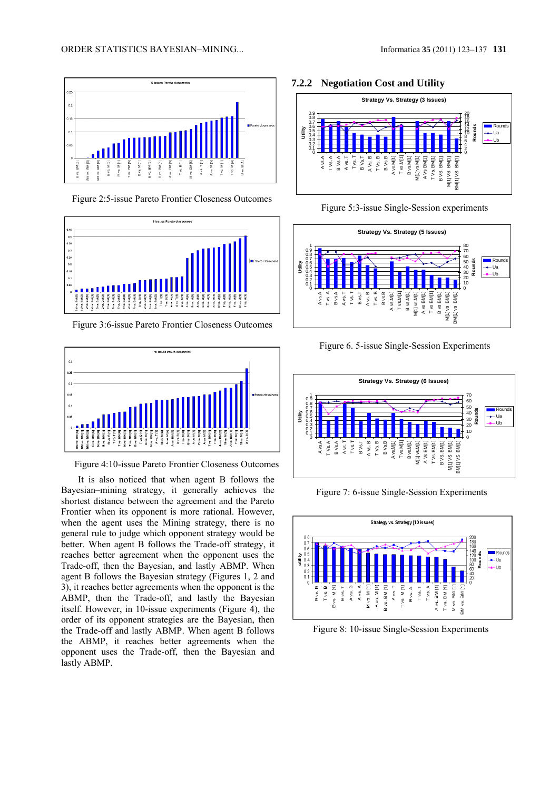

Figure 2:5-issue Pareto Frontier Closeness Outcomes



Figure 3:6-issue Pareto Frontier Closeness Outcomes



Figure 4:10-issue Pareto Frontier Closeness Outcomes

It is also noticed that when agent B follows the Bayesian–mining strategy, it generally achieves the shortest distance between the agreement and the Pareto Frontier when its opponent is more rational. However, when the agent uses the Mining strategy, there is no general rule to judge which opponent strategy would be better. When agent B follows the Trade-off strategy, it reaches better agreement when the opponent uses the Trade-off, then the Bayesian, and lastly ABMP. When agent B follows the Bayesian strategy (Figures 1, 2 and 3), it reaches better agreements when the opponent is the ABMP, then the Trade-off, and lastly the Bayesian itself. However, in 10-issue experiments (Figure 4), the order of its opponent strategies are the Bayesian, then the Trade-off and lastly ABMP. When agent B follows the ABMP, it reaches better agreements when the opponent uses the Trade-off, then the Bayesian and lastly ABMP.

#### **7.2.2 Negotiation Cost and Utility**



Figure 5:3-issue Single-Session experiments











Figure 8: 10-issue Single-Session Experiments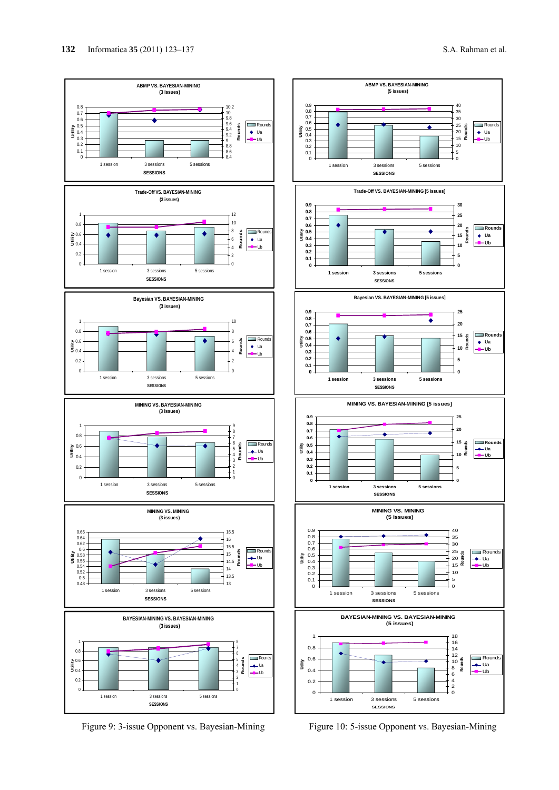

Figure 9: 3-issue Opponent vs. Bayesian-Mining



Figure 10: 5-issue Opponent vs. Bayesian-Mining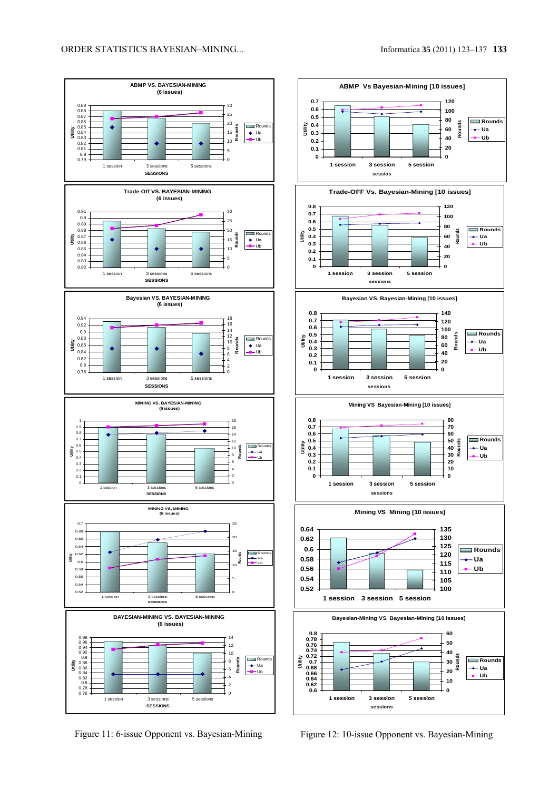





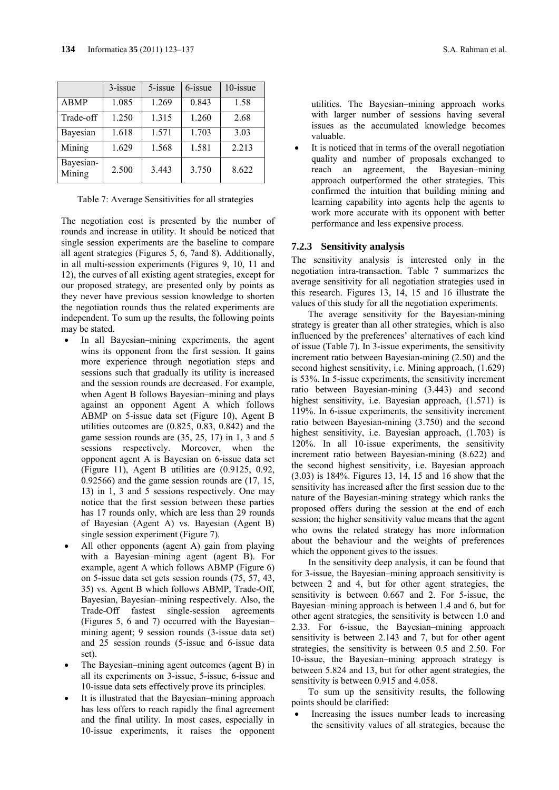|                     | $3$ -issue | $5$ -issue | 6-issue | 10-issue |
|---------------------|------------|------------|---------|----------|
| <b>ABMP</b>         | 1.085      | 1.269      | 0.843   | 1.58     |
| Trade-off           | 1.250      | 1.315      | 1.260   | 2.68     |
| Bayesian            | 1.618      | 1.571      | 1.703   | 3.03     |
| Mining              | 1.629      | 1.568      | 1.581   | 2.213    |
| Bayesian-<br>Mining | 2.500      | 3.443      | 3.750   | 8.622    |

Table 7: Average Sensitivities for all strategies

The negotiation cost is presented by the number of rounds and increase in utility. It should be noticed that single session experiments are the baseline to compare all agent strategies (Figures 5, 6, 7and 8). Additionally, in all multi-session experiments (Figures 9, 10, 11 and 12), the curves of all existing agent strategies, except for our proposed strategy, are presented only by points as they never have previous session knowledge to shorten the negotiation rounds thus the related experiments are independent. To sum up the results, the following points may be stated.

- In all Bayesian–mining experiments, the agent wins its opponent from the first session. It gains more experience through negotiation steps and sessions such that gradually its utility is increased and the session rounds are decreased. For example, when Agent B follows Bayesian–mining and plays against an opponent Agent A which follows ABMP on 5-issue data set (Figure 10), Agent B utilities outcomes are (0.825, 0.83, 0.842) and the game session rounds are (35, 25, 17) in 1, 3 and 5 sessions respectively. Moreover, when the opponent agent A is Bayesian on 6-issue data set (Figure 11), Agent B utilities are (0.9125, 0.92, 0.92566) and the game session rounds are (17, 15, 13) in 1, 3 and 5 sessions respectively. One may notice that the first session between these parties has 17 rounds only, which are less than 29 rounds of Bayesian (Agent A) vs. Bayesian (Agent B) single session experiment (Figure 7).
- All other opponents (agent A) gain from playing with a Bayesian–mining agent (agent B). For example, agent A which follows ABMP (Figure 6) on 5-issue data set gets session rounds (75, 57, 43, 35) vs. Agent B which follows ABMP, Trade-Off, Bayesian, Bayesian–mining respectively. Also, the Trade-Off fastest single-session agreements (Figures 5, 6 and 7) occurred with the Bayesian– mining agent; 9 session rounds (3-issue data set) and 25 session rounds (5-issue and 6-issue data set).
- The Bayesian–mining agent outcomes (agent B) in all its experiments on 3-issue, 5-issue, 6-issue and 10-issue data sets effectively prove its principles.
- It is illustrated that the Bayesian–mining approach has less offers to reach rapidly the final agreement and the final utility. In most cases, especially in 10-issue experiments, it raises the opponent

utilities. The Bayesian–mining approach works with larger number of sessions having several issues as the accumulated knowledge becomes valuable.

 It is noticed that in terms of the overall negotiation quality and number of proposals exchanged to reach an agreement, the Bayesian–mining approach outperformed the other strategies. This confirmed the intuition that building mining and learning capability into agents help the agents to work more accurate with its opponent with better performance and less expensive process.

#### **7.2.3 Sensitivity analysis**

The sensitivity analysis is interested only in the negotiation intra-transaction. Table 7 summarizes the average sensitivity for all negotiation strategies used in this research. Figures 13, 14, 15 and 16 illustrate the values of this study for all the negotiation experiments.

The average sensitivity for the Bayesian-mining strategy is greater than all other strategies, which is also influenced by the preferences' alternatives of each kind of issue (Table 7). In 3-issue experiments, the sensitivity increment ratio between Bayesian-mining (2.50) and the second highest sensitivity, i.e. Mining approach, (1.629) is 53%. In 5-issue experiments, the sensitivity increment ratio between Bayesian-mining (3.443) and second highest sensitivity, i.e. Bayesian approach, (1.571) is 119%. In 6-issue experiments, the sensitivity increment ratio between Bayesian-mining (3.750) and the second highest sensitivity, i.e. Bayesian approach, (1.703) is 120%. In all 10-issue experiments, the sensitivity increment ratio between Bayesian-mining (8.622) and the second highest sensitivity, i.e. Bayesian approach (3.03) is 184%. Figures 13, 14, 15 and 16 show that the sensitivity has increased after the first session due to the nature of the Bayesian-mining strategy which ranks the proposed offers during the session at the end of each session; the higher sensitivity value means that the agent who owns the related strategy has more information about the behaviour and the weights of preferences which the opponent gives to the issues.

In the sensitivity deep analysis, it can be found that for 3-issue, the Bayesian–mining approach sensitivity is between 2 and 4, but for other agent strategies, the sensitivity is between 0.667 and 2. For 5-issue, the Bayesian–mining approach is between 1.4 and 6, but for other agent strategies, the sensitivity is between 1.0 and 2.33. For 6-issue, the Bayesian–mining approach sensitivity is between 2.143 and 7, but for other agent strategies, the sensitivity is between 0.5 and 2.50. For 10-issue, the Bayesian–mining approach strategy is between 5.824 and 13, but for other agent strategies, the sensitivity is between 0.915 and 4.058.

To sum up the sensitivity results, the following points should be clarified:

 Increasing the issues number leads to increasing the sensitivity values of all strategies, because the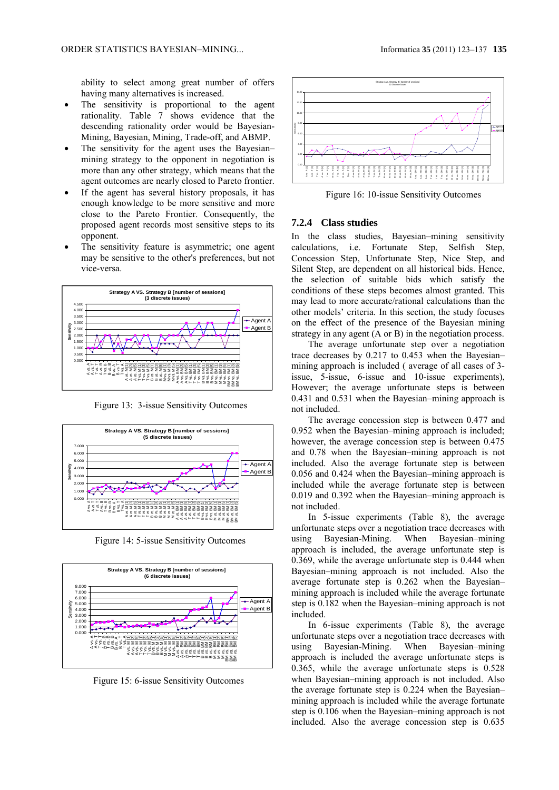ability to select among great number of offers having many alternatives is increased.

- The sensitivity is proportional to the agent rationality. Table 7 shows evidence that the descending rationality order would be Bayesian-Mining, Bayesian, Mining, Trade-off, and ABMP.
- The sensitivity for the agent uses the Bayesian– mining strategy to the opponent in negotiation is more than any other strategy, which means that the agent outcomes are nearly closed to Pareto frontier.
- If the agent has several history proposals, it has enough knowledge to be more sensitive and more close to the Pareto Frontier. Consequently, the proposed agent records most sensitive steps to its opponent.
- The sensitivity feature is asymmetric; one agent may be sensitive to the other's preferences, but not vice-versa.



Figure 13: 3-issue Sensitivity Outcomes



Figure 14: 5-issue Sensitivity Outcomes



Figure 15: 6-issue Sensitivity Outcomes



Figure 16: 10-issue Sensitivity Outcomes

#### **7.2.4 Class studies**

In the class studies, Bayesian–mining sensitivity calculations, i.e. Fortunate Step, Selfish Step, Concession Step, Unfortunate Step, Nice Step, and Silent Step, are dependent on all historical bids. Hence, the selection of suitable bids which satisfy the conditions of these steps becomes almost granted. This may lead to more accurate/rational calculations than the other models' criteria. In this section, the study focuses on the effect of the presence of the Bayesian mining strategy in any agent (A or B) in the negotiation process.

The average unfortunate step over a negotiation trace decreases by 0.217 to 0.453 when the Bayesian– mining approach is included ( average of all cases of 3 issue, 5-issue, 6-issue and 10-issue experiments), However; the average unfortunate steps is between 0.431 and 0.531 when the Bayesian–mining approach is not included.

The average concession step is between 0.477 and 0.952 when the Bayesian–mining approach is included; however, the average concession step is between 0.475 and 0.78 when the Bayesian–mining approach is not included. Also the average fortunate step is between 0.056 and 0.424 when the Bayesian–mining approach is included while the average fortunate step is between 0.019 and 0.392 when the Bayesian–mining approach is not included.

In 5-issue experiments (Table 8), the average unfortunate steps over a negotiation trace decreases with using Bayesian-Mining. When Bayesian–mining approach is included, the average unfortunate step is 0.369, while the average unfortunate step is 0.444 when Bayesian–mining approach is not included. Also the average fortunate step is 0.262 when the Bayesian– mining approach is included while the average fortunate step is 0.182 when the Bayesian–mining approach is not included.

In 6-issue experiments (Table 8), the average unfortunate steps over a negotiation trace decreases with using Bayesian-Mining. When Bayesian–mining approach is included the average unfortunate steps is 0.365, while the average unfortunate steps is 0.528 when Bayesian–mining approach is not included. Also the average fortunate step is 0.224 when the Bayesian– mining approach is included while the average fortunate step is 0.106 when the Bayesian–mining approach is not included. Also the average concession step is 0.635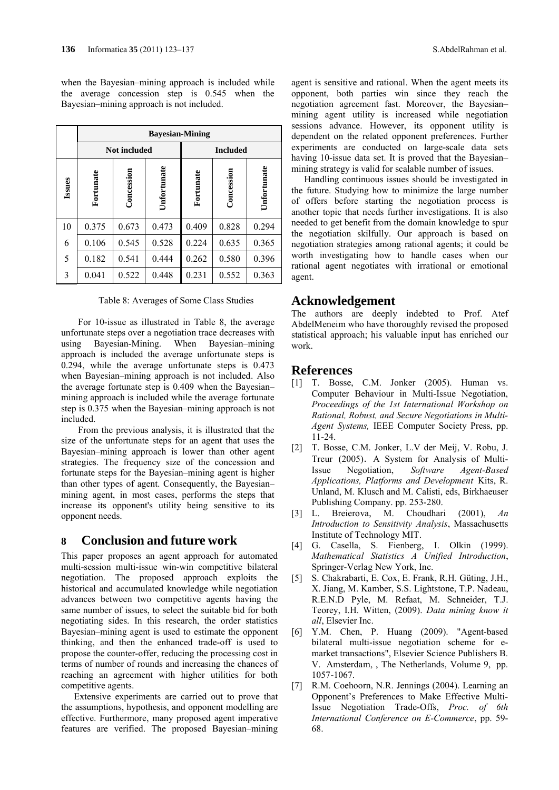when the Bayesian–mining approach is included while the average concession step is 0.545 when the Bayesian–mining approach is not included.

|        | <b>Bayesian-Mining</b> |                     |             |                                        |       |       |
|--------|------------------------|---------------------|-------------|----------------------------------------|-------|-------|
|        |                        | <b>Not included</b> |             | <b>Included</b>                        |       |       |
| Issues | Fortunate              | Concession          | Unfortunate | Unfortunate<br>Concession<br>Fortunate |       |       |
| 10     | 0.375                  | 0.673               | 0.473       | 0.409                                  | 0.828 | 0.294 |
| 6      | 0.106                  | 0.545               | 0.528       | 0.224                                  | 0.635 | 0.365 |
| 5      | 0.182                  | 0.541               | 0.444       | 0.262                                  | 0.580 | 0.396 |
| 3      | 0.041                  | 0.522               | 0.448       | 0.231                                  | 0.552 | 0.363 |

Table 8: Averages of Some Class Studies

For 10-issue as illustrated in Table 8, the average unfortunate steps over a negotiation trace decreases with using Bayesian-Mining. When Bayesian–mining approach is included the average unfortunate steps is 0.294, while the average unfortunate steps is 0.473 when Bayesian–mining approach is not included. Also the average fortunate step is 0.409 when the Bayesian– mining approach is included while the average fortunate step is 0.375 when the Bayesian–mining approach is not included.

From the previous analysis, it is illustrated that the size of the unfortunate steps for an agent that uses the Bayesian–mining approach is lower than other agent strategies. The frequency size of the concession and fortunate steps for the Bayesian–mining agent is higher than other types of agent. Consequently, the Bayesian– mining agent, in most cases, performs the steps that increase its opponent's utility being sensitive to its opponent needs.

## **8 Conclusion and future work**

This paper proposes an agent approach for automated multi-session multi-issue win-win competitive bilateral negotiation. The proposed approach exploits the historical and accumulated knowledge while negotiation advances between two competitive agents having the same number of issues, to select the suitable bid for both negotiating sides. In this research, the order statistics Bayesian–mining agent is used to estimate the opponent thinking, and then the enhanced trade-off is used to propose the counter-offer, reducing the processing cost in terms of number of rounds and increasing the chances of reaching an agreement with higher utilities for both competitive agents.

Extensive experiments are carried out to prove that the assumptions, hypothesis, and opponent modelling are effective. Furthermore, many proposed agent imperative features are verified. The proposed Bayesian–mining agent is sensitive and rational. When the agent meets its opponent, both parties win since they reach the negotiation agreement fast. Moreover, the Bayesian– mining agent utility is increased while negotiation sessions advance. However, its opponent utility is dependent on the related opponent preferences. Further experiments are conducted on large-scale data sets having 10-issue data set. It is proved that the Bayesian– mining strategy is valid for scalable number of issues.

Handling continuous issues should be investigated in the future. Studying how to minimize the large number of offers before starting the negotiation process is another topic that needs further investigations. It is also needed to get benefit from the domain knowledge to spur the negotiation skilfully. Our approach is based on negotiation strategies among rational agents; it could be worth investigating how to handle cases when our rational agent negotiates with irrational or emotional agent.

## **Acknowledgement**

The authors are deeply indebted to Prof. Atef AbdelMeneim who have thoroughly revised the proposed statistical approach; his valuable input has enriched our work.

## **References**

- [1] T. Bosse, C.M. Jonker (2005). Human vs. Computer Behaviour in Multi-Issue Negotiation, *Proceedings of the 1st International Workshop on Rational, Robust, and Secure Negotiations in Multi-Agent Systems,* IEEE Computer Society Press, pp. 11-24.
- [2] T. Bosse, C.M. Jonker, L.V der Meij, V. Robu, J. Treur (2005). A System for Analysis of Multi-Issue Negotiation, *Software Agent-Based Applications, Platforms and Development* Kits, R. Unland, M. Klusch and M. Calisti, eds, Birkhaeuser Publishing Company. pp. 253-280.
- [3] L. Breierova, M. Choudhari (2001), *An Introduction to Sensitivity Analysis*, Massachusetts Institute of Technology MIT.
- [4] G. Casella, S. Fienberg, I. Olkin (1999). *Mathematical Statistics A Unified Introduction*, Springer-Verlag New York, Inc.
- [5] S. Chakrabarti, E. Cox, E. Frank, R.H. Güting, J.H., X. Jiang, M. Kamber, S.S. Lightstone, T.P. Nadeau, R.E.N.D Pyle, M. Refaat, M. Schneider, T.J. Teorey, I.H. Witten, (2009). *Data mining know it all*, Elsevier Inc.
- [6] Y.M. Chen, P. Huang (2009). "Agent-based bilateral multi-issue negotiation scheme for emarket transactions", Elsevier Science Publishers B. V. Amsterdam, , The Netherlands, Volume 9, pp. 1057-1067.
- [7] R.M. Coehoorn, N.R. Jennings (2004). Learning an Opponent's Preferences to Make Effective Multi-Issue Negotiation Trade-Offs, *Proc. of 6th International Conference on E-Commerce*, pp. 59- 68.